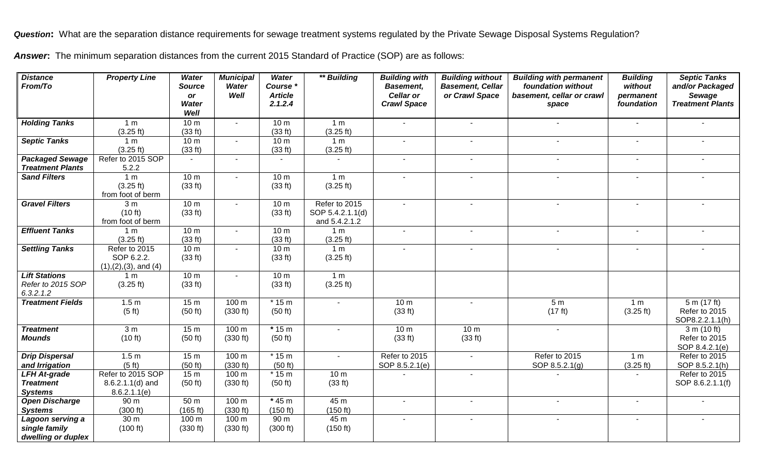*Question***:** What are the separation distance requirements for sewage treatment systems regulated by the Private Sewage Disposal Systems Regulation?

Answer: The minimum separation distances from the current 2015 Standard of Practice (SOP) are as follows:

| <b>Distance</b><br>From/To              | <b>Property Line</b>            | <b>Water</b><br><b>Source</b><br><b>or</b> | <b>Municipal</b><br>Water<br>Well | <b>Water</b><br>Course *<br><b>Article</b> | ** Building      | <b>Building with</b><br><b>Basement,</b><br><b>Cellar or</b> | <b>Building without</b><br><b>Basement, Cellar</b><br>or Crawl Space | <b>Building with permanent</b><br>foundation without<br>basement, cellar or crawl | <b>Building</b><br>without<br>permanent | <b>Septic Tanks</b><br>and/or Packaged<br>Sewage |
|-----------------------------------------|---------------------------------|--------------------------------------------|-----------------------------------|--------------------------------------------|------------------|--------------------------------------------------------------|----------------------------------------------------------------------|-----------------------------------------------------------------------------------|-----------------------------------------|--------------------------------------------------|
|                                         |                                 | <b>Water</b><br>Well                       |                                   | 2.1.2.4                                    |                  | <b>Crawl Space</b>                                           |                                                                      | space                                                                             | foundation                              | <b>Treatment Plants</b>                          |
| <b>Holding Tanks</b>                    | 1 <sub>m</sub>                  | 10 <sub>m</sub>                            | $\sim$                            | 10 <sub>m</sub>                            | 1 <sub>m</sub>   | $\sim$                                                       | $\blacksquare$                                                       | $\blacksquare$                                                                    | $\blacksquare$                          |                                                  |
|                                         | (3.25 ft)                       | (33 ft)                                    |                                   | (33 ft)                                    | (3.25 ft)        |                                                              |                                                                      |                                                                                   |                                         |                                                  |
| <b>Septic Tanks</b>                     | 1 <sub>m</sub>                  | 10 <sub>m</sub>                            |                                   | 10 <sub>m</sub>                            | 1 <sub>m</sub>   | $\sim$                                                       |                                                                      | $\sim$                                                                            |                                         |                                                  |
|                                         | (3.25 ft)                       | (33 ft)                                    |                                   | (33 ft)                                    | (3.25 ft)        |                                                              |                                                                      |                                                                                   |                                         |                                                  |
| <b>Packaged Sewage</b>                  | Refer to 2015 SOP               | $\sim$                                     | $\blacksquare$                    | $\sim$                                     | $\blacksquare$   | $\blacksquare$                                               | $\blacksquare$                                                       | $\sim$                                                                            | $\sim$                                  | $\sim$                                           |
| <b>Treatment Plants</b>                 | 5.2.2                           |                                            |                                   |                                            |                  |                                                              |                                                                      |                                                                                   |                                         |                                                  |
| <b>Sand Filters</b>                     | 1 <sub>m</sub>                  | 10 <sub>m</sub>                            | $\sim$                            | 10 <sub>m</sub>                            | 1 <sub>m</sub>   | $\blacksquare$                                               |                                                                      | $\blacksquare$                                                                    |                                         |                                                  |
|                                         | (3.25 ft)                       | (33 ft)                                    |                                   | (33 ft)                                    | (3.25 ft)        |                                                              |                                                                      |                                                                                   |                                         |                                                  |
|                                         | from foot of berm               |                                            | $\sim$                            |                                            | Refer to 2015    | $\mathbf{r}$                                                 |                                                                      | $\sim$                                                                            |                                         |                                                  |
| <b>Gravel Filters</b>                   | 3 <sub>m</sub><br>(10 ft)       | 10 <sub>m</sub><br>(33 ft)                 |                                   | 10 <sub>m</sub><br>(33 ft)                 | SOP 5.4.2.1.1(d) |                                                              |                                                                      |                                                                                   |                                         |                                                  |
|                                         | from foot of berm               |                                            |                                   |                                            | and 5.4.2.1.2    |                                                              |                                                                      |                                                                                   |                                         |                                                  |
| <b>Effluent Tanks</b>                   | 1 <sub>m</sub>                  | 10 <sub>m</sub>                            | $\sim$                            | 10 <sub>m</sub>                            | 1 <sub>m</sub>   | $\sim$                                                       | $\sim$                                                               | $\overline{\phantom{a}}$                                                          |                                         | $\sim$                                           |
|                                         | (3.25 ft)                       | (33 ft)                                    |                                   | (33 ft)                                    | (3.25 ft)        |                                                              |                                                                      |                                                                                   |                                         |                                                  |
| <b>Settling Tanks</b>                   | Refer to 2015                   | 10 <sub>m</sub>                            | $\mathbf{r}$                      | 10 <sub>m</sub>                            | 1 <sub>m</sub>   |                                                              |                                                                      | $\overline{a}$                                                                    |                                         |                                                  |
|                                         | SOP 6.2.2.                      | (33 ft)                                    |                                   | (33 ft)                                    | (3.25 ft)        |                                                              |                                                                      |                                                                                   |                                         |                                                  |
|                                         | $(1), (2), (3),$ and $(4)$      |                                            |                                   |                                            |                  |                                                              |                                                                      |                                                                                   |                                         |                                                  |
| <b>Lift Stations</b>                    | 1 <sub>m</sub>                  | 10 <sub>m</sub>                            |                                   | 10 <sub>m</sub>                            | 1 <sub>m</sub>   |                                                              |                                                                      |                                                                                   |                                         |                                                  |
| Refer to 2015 SOP                       | (3.25 ft)                       | (33 ft)                                    |                                   | (33 ft)                                    | (3.25 ft)        |                                                              |                                                                      |                                                                                   |                                         |                                                  |
| 6.3.2.1.2                               |                                 |                                            |                                   |                                            |                  |                                                              |                                                                      |                                                                                   |                                         |                                                  |
| <b>Treatment Fields</b>                 | 1.5 <sub>m</sub>                | 15 <sub>m</sub>                            | 100 m                             | $*15m$                                     | $\blacksquare$   | 10 <sub>m</sub>                                              | $\sim$                                                               | 5 <sub>m</sub>                                                                    | 1 <sub>m</sub>                          | 5 m (17 ft)                                      |
|                                         | (5 ft)                          | (50 ft)                                    | (330 ft)                          | (50 ft)                                    |                  | (33 ft)                                                      |                                                                      | (17 ft)                                                                           | (3.25 ft)                               | Refer to 2015                                    |
|                                         |                                 |                                            |                                   |                                            |                  |                                                              |                                                                      |                                                                                   |                                         | SOP8.2.2.1.1(h)                                  |
| <b>Treatment</b>                        | 3 <sub>m</sub>                  | 15 <sub>m</sub>                            | 100 m                             | $*15m$                                     | $\sim$           | 10 <sub>m</sub>                                              | 10 <sub>m</sub>                                                      | $\blacksquare$                                                                    |                                         | 3 m (10 ft)                                      |
| <b>Mounds</b>                           | (10 ft)                         | (50 ft)                                    | (330 ft)                          | (50 ft)                                    |                  | (33 ft)                                                      | (33 ft)                                                              |                                                                                   |                                         | Refer to 2015                                    |
|                                         |                                 |                                            |                                   |                                            |                  |                                                              |                                                                      |                                                                                   |                                         | SOP 8.4.2.1(e)                                   |
| <b>Drip Dispersal</b>                   | 1.5 <sub>m</sub>                | 15 <sub>m</sub>                            | 100 <sub>m</sub>                  | $*15m$                                     | $\blacksquare$   | Refer to 2015                                                | $\sim$                                                               | Refer to 2015                                                                     | 1 <sub>m</sub>                          | Refer to 2015                                    |
| and Irrigation                          | (5 ft)                          | (50 ft)                                    | (330 ft)                          | (50 ft)                                    |                  | SOP 8.5.2.1(e)                                               |                                                                      | SOP 8.5.2.1(g)                                                                    | (3.25 ft)                               | SOP 8.5.2.1(h)                                   |
| <b>LFH At-grade</b>                     | Refer to 2015 SOP               | 15 <sub>m</sub>                            | 100 m                             | $*15m$                                     | 10 <sub>m</sub>  |                                                              | $\sim$                                                               |                                                                                   |                                         | Refer to 2015                                    |
| <b>Treatment</b>                        | $8.6.2.1.1(d)$ and              | (50 ft)                                    | (330 ft)                          | (50 ft)                                    | (33 ft)          |                                                              |                                                                      |                                                                                   |                                         | SOP 8.6.2.1.1(f)                                 |
| <b>Systems</b>                          | 8.6.2.1.1(e)<br>90 <sub>m</sub> | 50 m                                       | 100 <sub>m</sub>                  | $*$ 45 m                                   | 45 m             | $\sim$                                                       | ÷.                                                                   | $\sim$                                                                            | $\sim$                                  | $\sim$                                           |
| <b>Open Discharge</b><br><b>Systems</b> | (300 ft)                        | (165 ft)                                   | (330 ft)                          | (150 ft)                                   | (150 ft)         |                                                              |                                                                      |                                                                                   |                                         |                                                  |
| Lagoon serving a                        | 30 m                            | 100 m                                      | 100 m                             | 90 m                                       | 45 m             | $\sim$                                                       | $\overline{\phantom{a}}$                                             | $\sim$                                                                            |                                         |                                                  |
| single family                           | (100 ft)                        | (330 ft)                                   | (330 ft)                          | (300 ft)                                   | (150 ft)         |                                                              |                                                                      |                                                                                   |                                         |                                                  |
| dwelling or duplex                      |                                 |                                            |                                   |                                            |                  |                                                              |                                                                      |                                                                                   |                                         |                                                  |
|                                         |                                 |                                            |                                   |                                            |                  |                                                              |                                                                      |                                                                                   |                                         |                                                  |